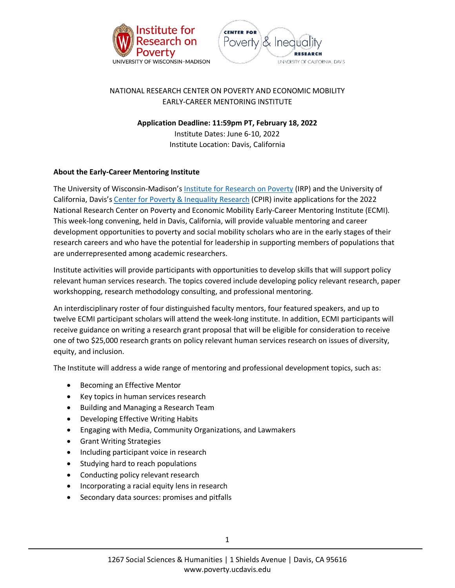



# NATIONAL RESEARCH CENTER ON POVERTY AND ECONOMIC MOBILITY EARLY-CAREER MENTORING INSTITUTE

**Application Deadline: 11:59pm PT, February 18, 2022**

Institute Dates: June 6-10, 2022 Institute Location: Davis, California

## **About the Early-Career Mentoring Institute**

The University of Wisconsin-Madison'[s Institute for Research on Poverty](https://www.irp.wisc.edu/) (IRP) and the University of California, Davis'[s Center for Poverty & Inequality Research](https://poverty.ucdavis.edu/) (CPIR) invite applications for the 2022 National Research Center on Poverty and Economic Mobility Early-Career Mentoring Institute (ECMI). This week-long convening, held in Davis, California, will provide valuable mentoring and career development opportunities to poverty and social mobility scholars who are in the early stages of their research careers and who have the potential for leadership in supporting members of populations that are underrepresented among academic researchers.

Institute activities will provide participants with opportunities to develop skills that will support policy relevant human services research. The topics covered include developing policy relevant research, paper workshopping, research methodology consulting, and professional mentoring.

An interdisciplinary roster of four distinguished faculty mentors, four featured speakers, and up to twelve ECMI participant scholars will attend the week-long institute. In addition, ECMI participants will receive guidance on writing a research grant proposal that will be eligible for consideration to receive one of two \$25,000 research grants on policy relevant human services research on issues of diversity, equity, and inclusion.

The Institute will address a wide range of mentoring and professional development topics, such as:

- Becoming an Effective Mentor
- Key topics in human services research
- Building and Managing a Research Team
- Developing Effective Writing Habits
- Engaging with Media, Community Organizations, and Lawmakers
- Grant Writing Strategies
- Including participant voice in research
- Studying hard to reach populations
- Conducting policy relevant research
- Incorporating a racial equity lens in research
- Secondary data sources: promises and pitfalls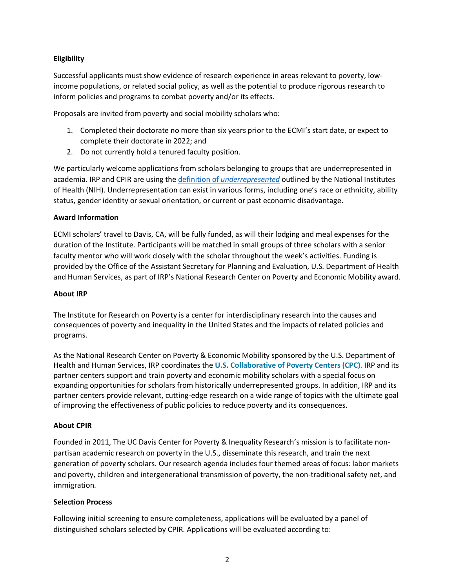### **Eligibility**

Successful applicants must show evidence of research experience in areas relevant to poverty, lowincome populations, or related social policy, as well as the potential to produce rigorous research to inform policies and programs to combat poverty and/or its effects.

Proposals are invited from poverty and social mobility scholars who:

- 1. Completed their doctorate no more than six years prior to the ECMI's start date, or expect to complete their doctorate in 2022; and
- 2. Do not currently hold a tenured faculty position.

We particularly welcome applications from scholars belonging to groups that are underrepresented in academia. IRP and CPIR are using the definition of *[underrepresented](https://diversity.nih.gov/about-us/population-underrepresented)* outlined by the National Institutes of Health (NIH). Underrepresentation can exist in various forms, including one's race or ethnicity, ability status, gender identity or sexual orientation, or current or past economic disadvantage.

#### **Award Information**

ECMI scholars' travel to Davis, CA, will be fully funded, as will their lodging and meal expenses for the duration of the Institute. Participants will be matched in small groups of three scholars with a senior faculty mentor who will work closely with the scholar throughout the week's activities. Funding is provided by the Office of the Assistant Secretary for Planning and Evaluation, U.S. Department of Health and Human Services, as part of IRP's National Research Center on Poverty and Economic Mobility award.

#### **About IRP**

The Institute for Research on Poverty is a center for interdisciplinary research into the causes and consequences of poverty and inequality in the United States and the impacts of related policies and programs.

As the National Research Center on Poverty & Economic Mobility sponsored by the U.S. Department of Health and Human Services, IRP coordinates the **U.S. [Collaborative](https://www.irp.wisc.edu/u-s-collaborative-of-poverty-centers-cpc/) of Poverty Centers (CPC)**. IRP and its partner centers support and train poverty and economic mobility scholars with a special focus on expanding opportunities for scholars from historically underrepresented groups. In addition, IRP and its partner centers provide relevant, cutting-edge research on a wide range of topics with the ultimate goal of improving the effectiveness of public policies to reduce poverty and its consequences.

#### **About CPIR**

Founded in 2011, The UC Davis Center for Poverty & Inequality Research's mission is to facilitate nonpartisan academic research on poverty in the U.S., disseminate this research, and train the next generation of poverty scholars. Our research agenda includes four themed areas of focus: labor markets and poverty, children and intergenerational transmission of poverty, the non-traditional safety net, and immigration.

#### **Selection Process**

Following initial screening to ensure completeness, applications will be evaluated by a panel of distinguished scholars selected by CPIR. Applications will be evaluated according to: